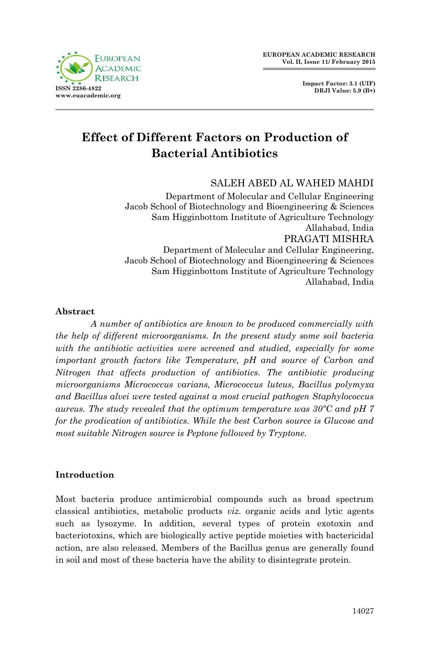



# **Effect of Different Factors on Production of Bacterial Antibiotics**

# SALEH ABED AL WAHED MAHDI

Department of Molecular and Cellular Engineering Jacob School of Biotechnology and Bioengineering & Sciences Sam Higginbottom Institute of Agriculture Technology Allahabad, India PRAGATI MISHRA Department of Molecular and Cellular Engineering, Jacob School of Biotechnology and Bioengineering & Sciences

Sam Higginbottom Institute of Agriculture Technology Allahabad, India

#### **Abstract**

*A number of antibiotics are known to be produced commercially with the help of different microorganisms. In the present study some soil bacteria with the antibiotic activities were screened and studied, especially for some important growth factors like Temperature, pH and source of Carbon and Nitrogen that affects production of antibiotics. The antibiotic producing microorganisms Micrococcus varians, Micrococcus luteus, Bacillus polymyxa and Bacillus alvei were tested against a most crucial pathogen Staphylococcus aureus. The study revealed that the optimum temperature was 30ºC and pH 7 for the prodication of antibiotics. While the best Carbon source is Glucose and most suitable Nitrogen source is Peptone followed by Tryptone.*

## **Introduction**

Most bacteria produce antimicrobial compounds such as broad spectrum classical antibiotics, metabolic products *viz.* organic acids and lytic agents such as lysozyme. In addition, several types of protein exotoxin and bacteriotoxins, which are biologically active peptide moieties with bactericidal action, are also released. Members of the Bacillus genus are generally found in soil and most of these bacteria have the ability to disintegrate protein.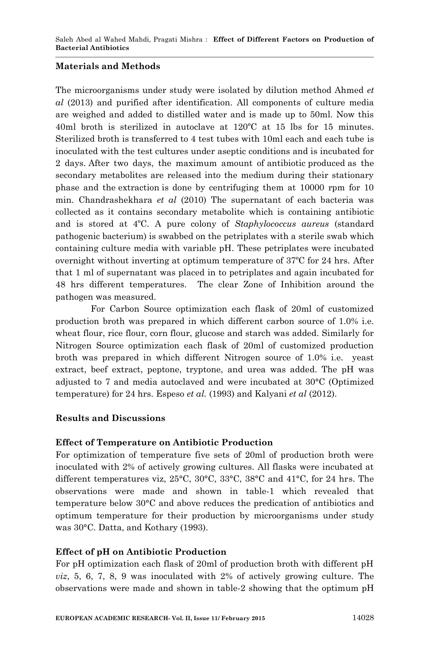#### **Materials and Methods**

The microorganisms under study were isolated by dilution method Ahmed *et al* (2013) and purified after identification. All components of culture media are weighed and added to distilled water and is made up to 50ml. Now this 40ml broth is sterilized in autoclave at 120ºC at 15 lbs for 15 minutes. Sterilized broth is transferred to 4 test tubes with 10ml each and each tube is inoculated with the test cultures under aseptic conditions and is incubated for 2 days. After two days, the maximum amount of antibiotic produced as the secondary metabolites are released into the medium during their stationary phase and the extraction is done by centrifuging them at 10000 rpm for 10 min. Chandrashekhara *et al* (2010) The supernatant of each bacteria was collected as it contains secondary metabolite which is containing antibiotic and is stored at 4ºC. A pure colony of *Staphylococcus aureus* (standard pathogenic bacterium) is swabbed on the petriplates with a sterile swab which containing culture media with variable pH. These petriplates were incubated overnight without inverting at optimum temperature of 37ºC for 24 hrs. After that 1 ml of supernatant was placed in to petriplates and again incubated for 48 hrs different temperatures. The clear Zone of Inhibition around the pathogen was measured.

For Carbon Source optimization each flask of 20ml of customized production broth was prepared in which different carbon source of 1.0% i.e. wheat flour, rice flour, corn flour, glucose and starch was added. Similarly for Nitrogen Source optimization each flask of 20ml of customized production broth was prepared in which different Nitrogen source of 1.0% i.e. yeast extract, beef extract, peptone, tryptone, and urea was added. The pH was adjusted to 7 and media autoclaved and were incubated at 30°C (Optimized temperature) for 24 hrs. Espeso *et al.* (1993) and Kalyani *et al* (2012).

## **Results and Discussions**

#### **Effect of Temperature on Antibiotic Production**

For optimization of temperature five sets of 20ml of production broth were inoculated with 2% of actively growing cultures. All flasks were incubated at different temperatures viz, 25°C, 30°C, 33°C, 38°C and 41°C, for 24 hrs. The observations were made and shown in table-1 which revealed that temperature below 30°C and above reduces the predication of antibiotics and optimum temperature for their production by microorganisms under study was 30°C. Datta, and Kothary (1993).

## **Effect of pH on Antibiotic Production**

For pH optimization each flask of 20ml of production broth with different pH *viz*, 5, 6, 7, 8, 9 was inoculated with 2% of actively growing culture. The observations were made and shown in table-2 showing that the optimum pH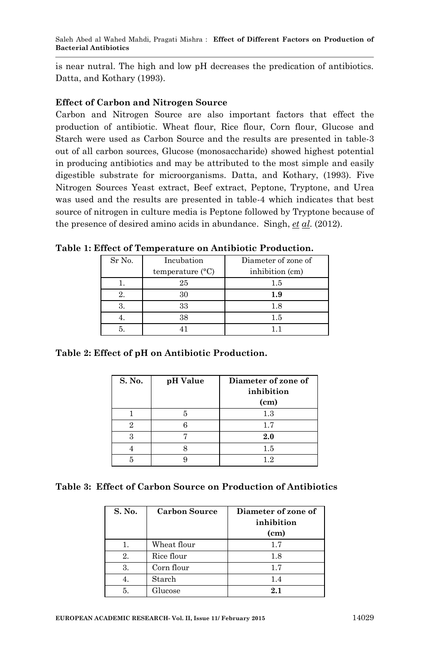is near nutral. The high and low pH decreases the predication of antibiotics. Datta, and Kothary (1993).

## **Effect of Carbon and Nitrogen Source**

Carbon and Nitrogen Source are also important factors that effect the production of antibiotic. Wheat flour, Rice flour, Corn flour, Glucose and Starch were used as Carbon Source and the results are presented in table-3 out of all carbon sources, Glucose (monosaccharide) showed highest potential in producing antibiotics and may be attributed to the most simple and easily digestible substrate for microorganisms. Datta, and Kothary, (1993). Five Nitrogen Sources Yeast extract, Beef extract, Peptone, Tryptone, and Urea was used and the results are presented in table-4 which indicates that best source of nitrogen in culture media is Peptone followed by Tryptone because of the presence of desired amino acids in abundance. Singh, *et al*. (2012).

| Sr No. | Incubation                | Diameter of zone of |
|--------|---------------------------|---------------------|
|        | temperature $(^{\circ}C)$ | inhibition (cm)     |
|        | 25                        | $1.5\,$             |
|        |                           | 1.9                 |
|        | 33                        | 1.8                 |
|        | 38                        | 1.5                 |
|        |                           |                     |

**Table 1: Effect of Temperature on Antibiotic Production.**

**Table 2: Effect of pH on Antibiotic Production.**

| S. No. | pH Value | Diameter of zone of<br>inhibition |
|--------|----------|-----------------------------------|
|        |          | (cm)                              |
|        |          | 1.3                               |
| 9      |          | 1.7                               |
|        |          | 2.0                               |
|        |          | 1.5                               |
|        |          | 19                                |

|  |  |  |  |  | Table 3: Effect of Carbon Source on Production of Antibiotics |
|--|--|--|--|--|---------------------------------------------------------------|
|--|--|--|--|--|---------------------------------------------------------------|

| S. No. | <b>Carbon Source</b> | Diameter of zone of<br>inhibition<br>(c <sub>m</sub> ) |
|--------|----------------------|--------------------------------------------------------|
| 1.     | Wheat flour          | 1.7                                                    |
| 2.     | Rice flour           | 1.8                                                    |
| 3.     | Corn flour           | 17                                                     |
|        | Starch               | 1.4                                                    |
| 5.     | Glucose              | 2.1                                                    |